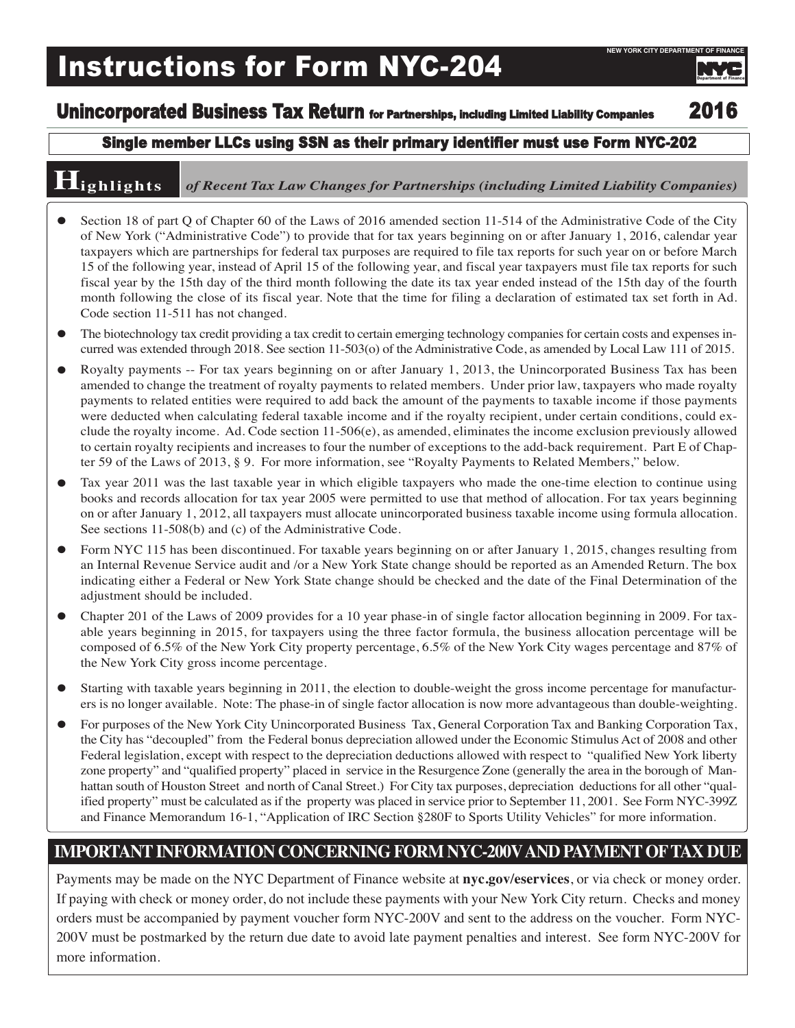# Instructions for Form NYC-204

# Department of Finance

Unincorporated Business Tax Return for Partnerships, including Limited Liability Companies 2016

### Single member LLCs using SSN as their primary identifier must use Form NYC-202

## **Highlights** *of Recent Tax Law Changes for Partnerships (including Limited Liability Companies)*

- l Section 18 of part Q of Chapter 60 of the Laws of 2016 amended section 11-514 of the Administrative Code of the City of New York ("Administrative Code") to provide that for tax years beginning on or after January 1, 2016, calendar year taxpayers which are partnerships for federal tax purposes are required to file tax reports for such year on or before March 15 of the following year, instead of April 15 of the following year, and fiscal year taxpayers must file tax reports for such fiscal year by the 15th day of the third month following the date its tax year ended instead of the 15th day of the fourth month following the close of its fiscal year. Note that the time for filing a declaration of estimated tax set forth in Ad. Code section 11-511 has not changed.
- The biotechnology tax credit providing a tax credit to certain emerging technology companies for certain costs and expenses incurred was extended through 2018. See section 11-503(o) of the Administrative Code, as amended by Local Law 111 of 2015.
- $\bullet$  Royalty payments -- For tax years beginning on or after January 1, 2013, the Unincorporated Business Tax has been amended to change the treatment of royalty payments to related members. Under prior law, taxpayers who made royalty payments to related entities were required to add back the amount of the payments to taxable income if those payments were deducted when calculating federal taxable income and if the royalty recipient, under certain conditions, could exclude the royalty income. Ad. Code section 11-506(e), as amended, eliminates the income exclusion previously allowed to certain royalty recipients and increases to four the number of exceptions to the add-back requirement. Part E of Chapter 59 of the Laws of 2013, § 9. For more information, see "Royalty Payments to Related Members," below.
- $\bullet$  Tax year 2011 was the last taxable year in which eligible taxpayers who made the one-time election to continue using books and records allocation for tax year 2005 were permitted to use that method of allocation. For tax years beginning on or after January 1, 2012, all taxpayers must allocate unincorporated business taxable income using formula allocation. See sections 11-508(b) and (c) of the Administrative Code.
- Form NYC 115 has been discontinued. For taxable years beginning on or after January 1, 2015, changes resulting from an Internal Revenue Service audit and /or a New York State change should be reported as an Amended Return. The box indicating either a Federal or New York State change should be checked and the date of the Final Determination of the adjustment should be included.
- Chapter 201 of the Laws of 2009 provides for a 10 year phase-in of single factor allocation beginning in 2009. For taxable years beginning in 2015, for taxpayers using the three factor formula, the business allocation percentage will be composed of 6.5% of the New York City property percentage, 6.5% of the New York City wages percentage and 87% of the New York City gross income percentage.
- $\bullet$  Starting with taxable years beginning in 2011, the election to double-weight the gross income percentage for manufacturers is no longer available. Note: The phase-in of single factor allocation is now more advantageous than double-weighting.
- l For purposes of the New York City Unincorporated Business Tax, General Corporation Tax and Banking Corporation Tax, the City has "decoupled" from the Federal bonus depreciation allowed under the Economic Stimulus Act of 2008 and other Federal legislation, except with respect to the depreciation deductions allowed with respect to "qualified New York liberty zone property" and "qualified property" placed in service in the Resurgence Zone (generally the area in the borough of Manhattan south of Houston Street and north of Canal Street.) For City tax purposes, depreciation deductions for all other "qualified property" must be calculated asif the property was placed in service prior to September 11, 2001. See Form NYC-399Z and Finance Memorandum 16-1, "Application of IRC Section §280F to Sports Utility Vehicles" for more information.

## **IMPORTANTINFORMATION CONCERNING FORM NYC-200VAND PAYMENTOFTAX DUE**

Payments may be made on the NYC Department of Finance website at **nyc.gov/eservices**, or via check or money order. If paying with check or money order, do not include these payments with your New York City return. Checks and money orders must be accompanied by payment voucher form NYC-200V and sent to the address on the voucher. Form NYC-200V must be postmarked by the return due date to avoid late payment penalties and interest. See form NYC-200V for more information.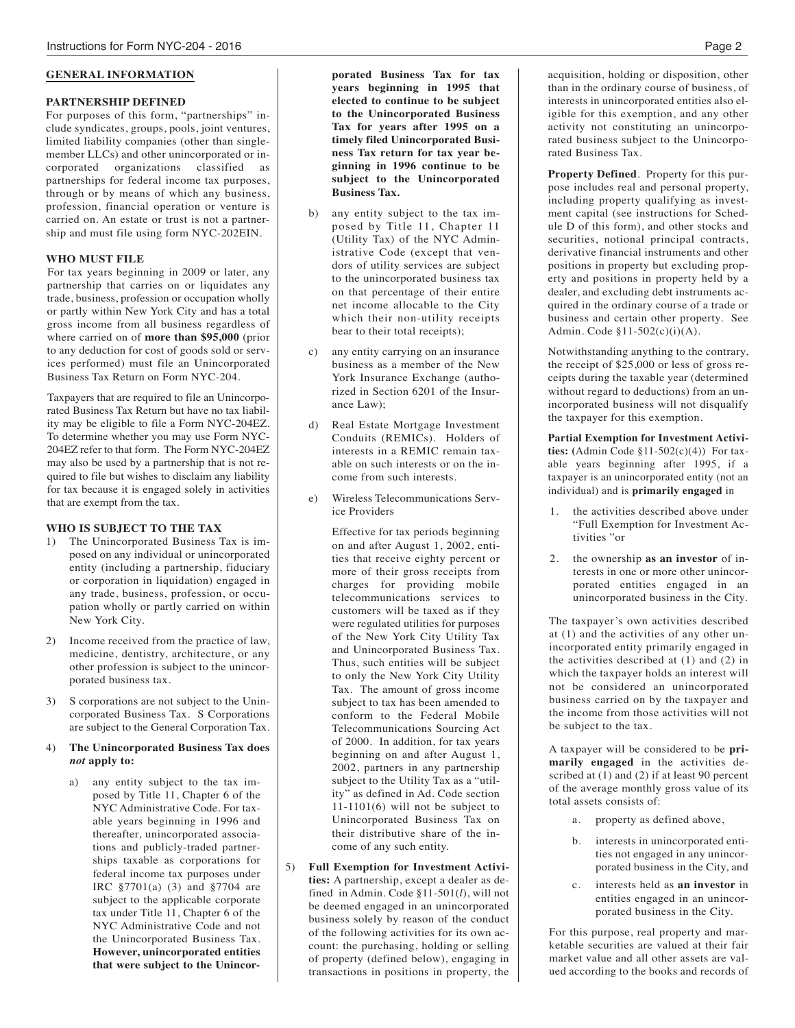#### **GENERAL INFORMATION**

#### **PARTNERSHIP DEFINED**

For purposes of this form, "partnerships" include syndicates, groups, pools, joint ventures, limited liability companies (other than singlemember LLCs) and other unincorporated or incorporated organizations classified as partnerships for federal income tax purposes, through or by means of which any business, profession, financial operation or venture is carried on. An estate or trust is not a partnership and must file using form NYC-202EIN.

#### **WHO MUST FILE**

For tax years beginning in 2009 or later, any partnership that carries on or liquidates any trade, business, profession or occupation wholly or partly within New York City and has a total gross income from all business regardless of where carried on of **more than \$95,000** (prior to any deduction for cost of goods sold or services performed) must file an Unincorporated Business Tax Return on Form NYC-204.

Taxpayers that are required to file an Unincorporated Business Tax Return but have no tax liability may be eligible to file a Form NYC-204EZ. To determine whether you may use Form NYC-204EZ refer to that form. The Form NYC-204EZ may also be used by a partnership that is not required to file but wishes to disclaim any liability for tax because it is engaged solely in activities that are exempt from the tax.

#### **WHO IS SUBJECT TO THE TAX**

- 1) The Unincorporated Business Tax is imposed on any individual or unincorporated entity (including a partnership, fiduciary or corporation in liquidation) engaged in any trade, business, profession, or occupation wholly or partly carried on within New York City.
- 2) Income received from the practice of law, medicine, dentistry, architecture, or any other profession is subject to the unincorporated business tax.
- 3) S corporations are not subject to the Unincorporated Business Tax. S Corporations are subject to the General Corporation Tax.

#### 4) **The Unincorporated Business Tax does** *not* **apply to:**

a) any entity subject to the tax imposed by Title 11, Chapter 6 of the NYC Administrative Code. For taxable years beginning in 1996 and thereafter, unincorporated associations and publicly-traded partnerships taxable as corporations for federal income tax purposes under IRC §7701(a) (3) and §7704 are subject to the applicable corporate tax under Title 11, Chapter 6 of the NYC Administrative Code and not the Unincorporated Business Tax. **However, unincorporated entities that were subject to the Unincor-** **porated Business Tax for tax years beginning in 1995 that elected to continue to be subject to the Unincorporated Business Tax for years after 1995 on a timely filed Unincorporated Business Tax return for tax year beginning in 1996 continue to be subject to the Unincorporated Business Tax.**

- b) any entity subject to the tax imposed by Title 11, Chapter 11 (Utility Tax) of the NYC Administrative Code (except that vendors of utility services are subject to the unincorporated business tax on that percentage of their entire net income allocable to the City which their non-utility receipts bear to their total receipts);
- c) any entity carrying on an insurance business as a member of the New York Insurance Exchange (authorized in Section 6201 of the Insurance Law);
- d) Real Estate Mortgage Investment Conduits (REMICs). Holders of interests in a REMIC remain taxable on such interests or on the income from such interests.
- e) Wireless Telecommunications Service Providers

Effective for tax periods beginning on and after August 1, 2002, entities that receive eighty percent or more of their gross receipts from charges for providing mobile telecommunications services to customers will be taxed as if they were regulated utilities for purposes of the New York City Utility Tax and Unincorporated Business Tax. Thus, such entities will be subject to only the New York City Utility Tax. The amount of gross income subject to tax has been amended to conform to the Federal Mobile Telecommunications Sourcing Act of 2000. In addition, for tax years beginning on and after August 1, 2002, partners in any partnership subject to the Utility Tax as a "utility" as defined in Ad. Code section 11-1101(6) will not be subject to Unincorporated Business Tax on their distributive share of the income of any such entity.

5) **Full Exemption for Investment Activities:** A partnership, except a dealer as defined in Admin. Code §11-501(*l*), will not be deemed engaged in an unincorporated business solely by reason of the conduct of the following activities for its own account: the purchasing, holding or selling of property (defined below), engaging in transactions in positions in property, the

acquisition, holding or disposition, other than in the ordinary course of business, of interests in unincorporated entities also eligible for this exemption, and any other activity not constituting an unincorporated business subject to the Unincorporated Business Tax.

**Property Defined**. Property for this purpose includes real and personal property, including property qualifying as investment capital (see instructions for Schedule D of this form), and other stocks and securities, notional principal contracts, derivative financial instruments and other positions in property but excluding property and positions in property held by a dealer, and excluding debt instruments acquired in the ordinary course of a trade or business and certain other property. See Admin. Code §11-502(c)(i)(A).

Notwithstanding anything to the contrary, the receipt of \$25,000 or less of gross receipts during the taxable year (determined without regard to deductions) from an unincorporated business will not disqualify the taxpayer for this exemption.

**Partial Exemption for Investment Activities:**  $(Admin Code §11-502(c)(4))$  For taxable years beginning after 1995, if a taxpayer is an unincorporated entity (not an individual) and is **primarily engaged** in

- 1. the activities described above under "Full Exemption for Investment Activities "or
- 2. the ownership **as an investor** of interests in one or more other unincorporated entities engaged in an unincorporated business in the City.

The taxpayer's own activities described at (1) and the activities of any other unincorporated entity primarily engaged in the activities described at (1) and (2) in which the taxpayer holds an interest will not be considered an unincorporated business carried on by the taxpayer and the income from those activities will not be subject to the tax.

A taxpayer will be considered to be **primarily engaged** in the activities described at (1) and (2) if at least 90 percent of the average monthly gross value of its total assets consists of:

- a. property as defined above,
- b. interests in unincorporated entities not engaged in any unincorporated business in the City, and
- c. interests held as **an investor** in entities engaged in an unincorporated business in the City.

For this purpose, real property and marketable securities are valued at their fair market value and all other assets are valued according to the books and records of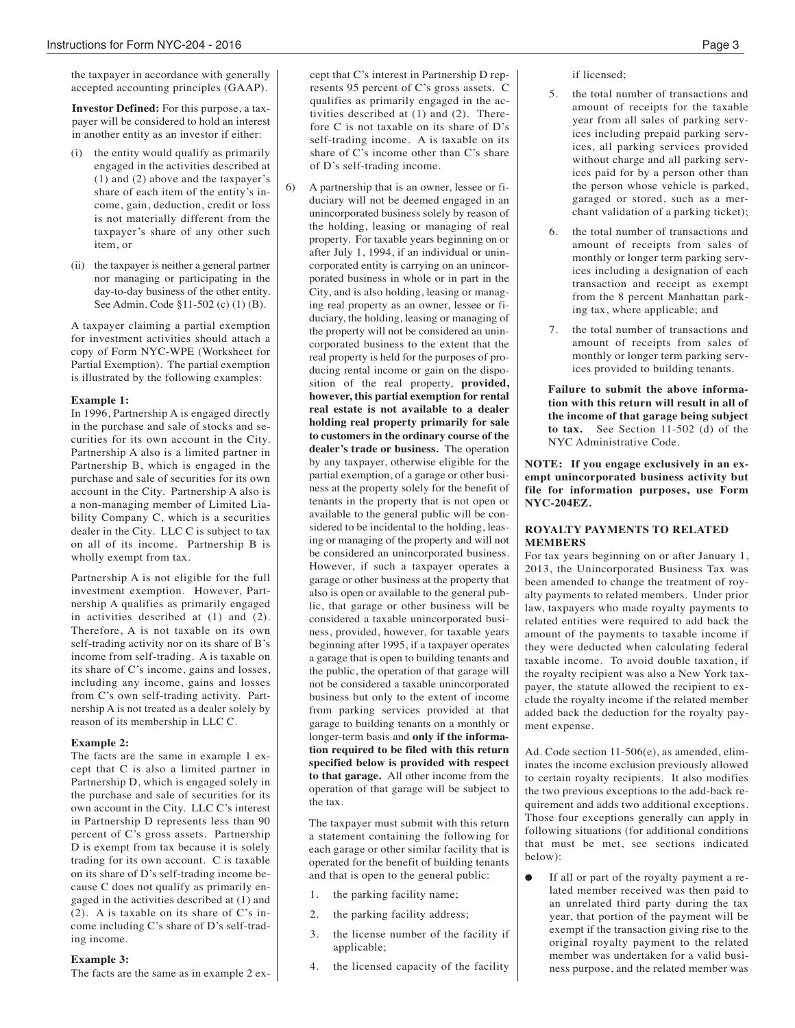the taxpayer in accordance with generally accepted accounting principles (GAAP).

**Investor Defined:** For this purpose, a taxpayer will be considered to hold an interest in another entity as an investor if either:

- (i) the entity would qualify as primarily engaged in the activities described at (1) and (2) above and the taxpayer's share of each item of the entity's income, gain, deduction, credit or loss is not materially different from the taxpayer's share of any other such item, or
- (ii) the taxpayer is neither a general partner nor managing or participating in the day-to-day business of the other entity. See Admin. Code §11-502 (c) (1) (B).

A taxpayer claiming a partial exemption for investment activities should attach a copy of Form NYC-WPE (Worksheet for Partial Exemption). The partial exemption is illustrated by the following examples:

#### **Example 1:**

In 1996, Partnership A is engaged directly in the purchase and sale of stocks and securities for its own account in the City. Partnership A also is a limited partner in Partnership B, which is engaged in the purchase and sale of securities for its own account in the City. Partnership A also is a non-managing member of Limited Liability Company C, which is a securities dealer in the City. LLC C is subject to tax on all of its income. Partnership B is wholly exempt from tax.

Partnership A is not eligible for the full investment exemption. However, Partnership A qualifies as primarily engaged in activities described at (1) and (2). Therefore, A is not taxable on its own self-trading activity nor on its share of B's income from self-trading. A is taxable on its share of C's income, gains and losses, including any income, gains and losses from C's own self-trading activity. Partnership A is not treated as a dealer solely by reason of its membership in LLC C.

#### **Example 2:**

The facts are the same in example 1 except that C is also a limited partner in Partnership D, which is engaged solely in the purchase and sale of securities for its own account in the City. LLC C's interest in Partnership D represents less than 90 percent of C's gross assets. Partnership D is exempt from tax because it is solely trading for its own account. C is taxable on its share of D's self-trading income because C does not qualify as primarily engaged in the activities described at (1) and (2). A is taxable on its share of C's income including C's share of D's self-trading income.

#### **Example 3:**

The facts are the same as in example 2 ex-

cept that C's interest in Partnership D represents 95 percent of C's gross assets. C qualifies as primarily engaged in the activities described at (1) and (2). Therefore C is not taxable on its share of D's self-trading income. A is taxable on its share of C's income other than C's share of D's self-trading income.

6) A partnership that is an owner, lessee or fiduciary will not be deemed engaged in an unincorporated business solely by reason of the holding, leasing or managing of real property. For taxable years beginning on or after July 1, 1994, if an individual or unincorporated entity is carrying on an unincorporated business in whole or in part in the City, and is also holding, leasing or managing real property as an owner, lessee or fiduciary, the holding, leasing or managing of the property will not be considered an unincorporated business to the extent that the real property is held for the purposes of producing rental income or gain on the disposition of the real property, **provided, however, this partial exemption for rental real estate is not available to a dealer holding real property primarily for sale to customers in the ordinary course of the dealer's trade or business.** The operation by any taxpayer, otherwise eligible for the partial exemption, of a garage or other business at the property solely for the benefit of tenants in the property that is not open or available to the general public will be considered to be incidental to the holding, leasing or managing of the property and will not be considered an unincorporated business. However, if such a taxpayer operates a garage or other business at the property that also is open or available to the general public, that garage or other business will be considered a taxable unincorporated business, provided, however, for taxable years beginning after 1995, if a taxpayer operates a garage that is open to building tenants and the public, the operation of that garage will not be considered a taxable unincorporated business but only to the extent of income from parking services provided at that garage to building tenants on a monthly or longer-term basis and **only if the information required to be filed with this return specified below is provided with respect to that garage.** All other income from the operation of that garage will be subject to the tax.

> The taxpayer must submit with this return a statement containing the following for each garage or other similar facility that is operated for the benefit of building tenants and that is open to the general public:

- 1. the parking facility name;
- 2. the parking facility address;
- 3. the license number of the facility if applicable;
- 4. the licensed capacity of the facility

if licensed;

- 5. the total number of transactions and amount of receipts for the taxable year from all sales of parking services including prepaid parking services, all parking services provided without charge and all parking services paid for by a person other than the person whose vehicle is parked, garaged or stored, such as a merchant validation of a parking ticket);
- 6. the total number of transactions and amount of receipts from sales of monthly or longer term parking services including a designation of each transaction and receipt as exempt from the 8 percent Manhattan parking tax, where applicable; and
- 7. the total number of transactions and amount of receipts from sales of monthly or longer term parking services provided to building tenants.

**Failure to submit the above information with this return will result in all of the income of that garage being subject to tax.** See Section 11-502 (d) of the NYC Administrative Code.

**NOTE: If you engage exclusively in an exempt unincorporated business activity but file for information purposes, use Form NYC-204EZ.**

#### **ROYALTY PAYMENTS TO RELATED MEMBERS**

For tax years beginning on or after January 1, 2013, the Unincorporated Business Tax was been amended to change the treatment of royalty payments to related members. Under prior law, taxpayers who made royalty payments to related entities were required to add back the amount of the payments to taxable income if they were deducted when calculating federal taxable income. To avoid double taxation, if the royalty recipient was also a New York taxpayer, the statute allowed the recipient to exclude the royalty income if the related member added back the deduction for the royalty payment expense.

Ad. Code section 11-506(e), as amended, eliminates the income exclusion previously allowed to certain royalty recipients. It also modifies the two previous exceptions to the add-back requirement and adds two additional exceptions. Those four exceptions generally can apply in following situations (for additional conditions that must be met, see sections indicated below):

If all or part of the royalty payment a related member received was then paid to an unrelated third party during the tax year, that portion of the payment will be exempt if the transaction giving rise to the original royalty payment to the related member was undertaken for a valid business purpose, and the related member was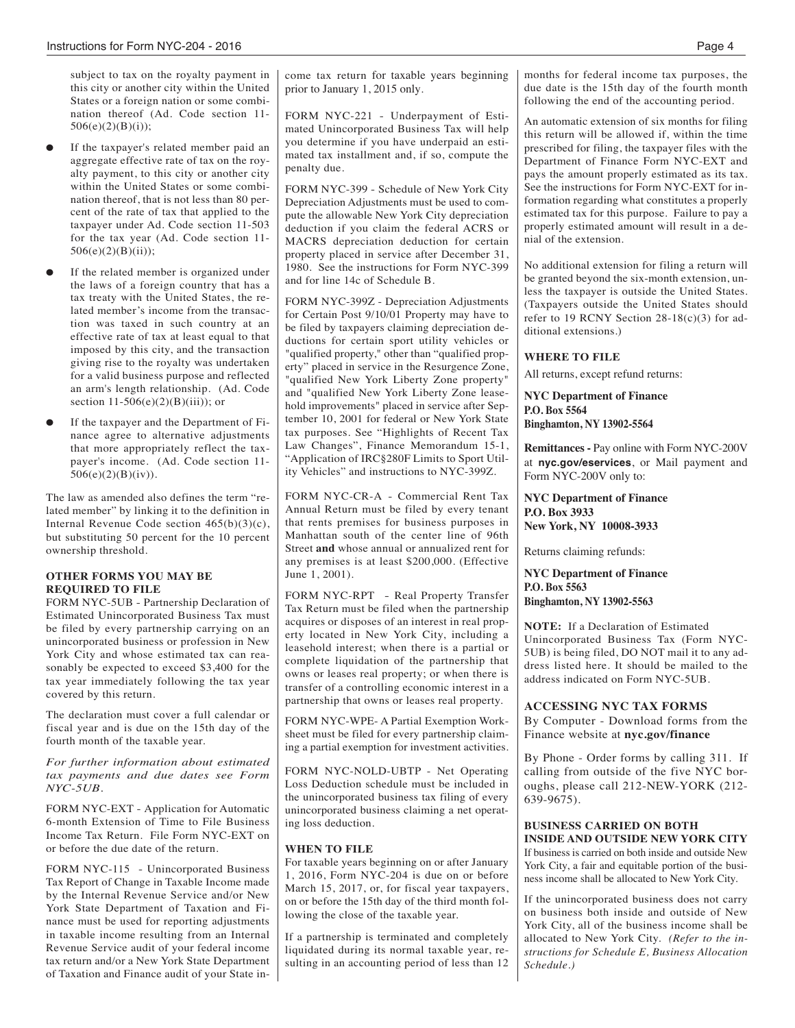subject to tax on the royalty payment in this city or another city within the United States or a foreign nation or some combination thereof (Ad. Code section 11-  $506(e)(2)(B)(i)$ ;

- If the taxpayer's related member paid an aggregate effective rate of tax on the royalty payment, to this city or another city within the United States or some combination thereof, that is not less than 80 percent of the rate of tax that applied to the taxpayer under Ad. Code section 11-503 for the tax year (Ad. Code section 11- 506(e)(2)(B)(ii));
- If the related member is organized under the laws of a foreign country that has a tax treaty with the United States, the related member's income from the transaction was taxed in such country at an effective rate of tax at least equal to that imposed by this city, and the transaction giving rise to the royalty was undertaken for a valid business purpose and reflected an arm's length relationship. (Ad. Code section  $11-506(e)(2)(B)(iii)$ ; or
- If the taxpayer and the Department of Finance agree to alternative adjustments that more appropriately reflect the taxpayer's income. (Ad. Code section 11-  $506(e)(2)(B)(iv)$ .

The law as amended also defines the term "related member" by linking it to the definition in Internal Revenue Code section 465(b)(3)(c), but substituting 50 percent for the 10 percent ownership threshold.

#### **OTHER FORMS YOU MAY BE REQUIRED TO FILE**

FORM NYC-5UB - Partnership Declaration of Estimated Unincorporated Business Tax must be filed by every partnership carrying on an unincorporated business or profession in New York City and whose estimated tax can reasonably be expected to exceed \$3,400 for the tax year immediately following the tax year covered by this return.

The declaration must cover a full calendar or fiscal year and is due on the 15th day of the fourth month of the taxable year.

*For further information about estimated tax payments and due dates see Form NYC-5UB.*

FORM NYC-EXT - Application for Automatic 6-month Extension of Time to File Business Income Tax Return. File Form NYC-EXT on or before the due date of the return.

FORM NYC-115 - Unincorporated Business Tax Report of Change in Taxable Income made by the Internal Revenue Service and/or New York State Department of Taxation and Finance must be used for reporting adjustments in taxable income resulting from an Internal Revenue Service audit of your federal income tax return and/or a New York State Department of Taxation and Finance audit of your State income tax return for taxable years beginning prior to January 1, 2015 only.

FORM NYC-221 - Underpayment of Estimated Unincorporated Business Tax will help you determine if you have underpaid an estimated tax installment and, if so, compute the penalty due.

FORM NYC-399 - Schedule of New York City Depreciation Adjustments must be used to compute the allowable New York City depreciation deduction if you claim the federal ACRS or MACRS depreciation deduction for certain property placed in service after December 31, 1980. See the instructions for Form NYC-399 and for line 14c of Schedule B.

FORM NYC-399Z - Depreciation Adjustments for Certain Post 9/10/01 Property may have to be filed by taxpayers claiming depreciation deductions for certain sport utility vehicles or "qualified property," other than "qualified property" placed in service in the Resurgence Zone, "qualified New York Liberty Zone property" and "qualified New York Liberty Zone leasehold improvements" placed in service after September 10, 2001 for federal or New York State tax purposes. See "Highlights of Recent Tax Law Changes", Finance Memorandum 15-1, "Application of IRC§280F Limits to Sport Utility Vehicles" and instructions to NYC-399Z.

FORM NYC-CR-A - Commercial Rent Tax Annual Return must be filed by every tenant that rents premises for business purposes in Manhattan south of the center line of 96th Street **and** whose annual or annualized rent for any premises is at least \$200,000. (Effective June 1, 2001).

FORM NYC-RPT - Real Property Transfer Tax Return must be filed when the partnership acquires or disposes of an interest in real property located in New York City, including a leasehold interest; when there is a partial or complete liquidation of the partnership that owns or leases real property; or when there is transfer of a controlling economic interest in a partnership that owns or leases real property.

FORM NYC-WPE- A Partial Exemption Worksheet must be filed for every partnership claiming a partial exemption for investment activities.

FORM NYC-NOLD-UBTP - Net Operating Loss Deduction schedule must be included in the unincorporated business tax filing of every unincorporated business claiming a net operating loss deduction.

#### **WHEN TO FILE**

For taxable years beginning on or after January 1, 2016, Form NYC-204 is due on or before March 15, 2017, or, for fiscal year taxpayers, on or before the 15th day of the third month following the close of the taxable year.

If a partnership is terminated and completely liquidated during its normal taxable year, resulting in an accounting period of less than 12 months for federal income tax purposes, the due date is the 15th day of the fourth month following the end of the accounting period.

An automatic extension of six months for filing this return will be allowed if, within the time prescribed for filing, the taxpayer files with the Department of Finance Form NYC-EXT and pays the amount properly estimated as its tax. See the instructions for Form NYC-EXT for information regarding what constitutes a properly estimated tax for this purpose. Failure to pay a properly estimated amount will result in a denial of the extension.

No additional extension for filing a return will be granted beyond the six-month extension, unless the taxpayer is outside the United States. (Taxpayers outside the United States should refer to 19 RCNY Section 28-18(c)(3) for additional extensions.)

#### **WHERE TO FILE**

All returns, except refund returns:

**NYC Department of Finance P.O. Box 5564 Binghamton, NY 13902-5564**

**Remittances -** Pay online with Form NYC-200V at **nyc.gov/eservices**, or Mail payment and Form NYC-200V only to:

**NYC Department of Finance P.O. Box 3933 New York, NY 10008-3933**

Returns claiming refunds:

**NYC Department of Finance P.O. Box 5563 Binghamton, NY 13902-5563**

**NOTE:** If a Declaration of Estimated Unincorporated Business Tax (Form NYC-5UB) is being filed, DO NOT mail it to any address listed here. It should be mailed to the address indicated on Form NYC-5UB.

#### **ACCESSING NYC TAX FORMS**

By Computer - Download forms from the Finance website at **nyc.gov/finance**

By Phone - Order forms by calling 311. If calling from outside of the five NYC boroughs, please call 212-NEW-YORK (212- 639-9675).

### **BUSINESS CARRIED ON BOTH**

**INSIDE AND OUTSIDE NEW YORK CITY** If business is carried on both inside and outside New York City, a fair and equitable portion of the business income shall be allocated to New York City.

If the unincorporated business does not carry on business both inside and outside of New York City, all of the business income shall be allocated to New York City. *(Refer to the instructions for Schedule E, Business Allocation Schedule.)*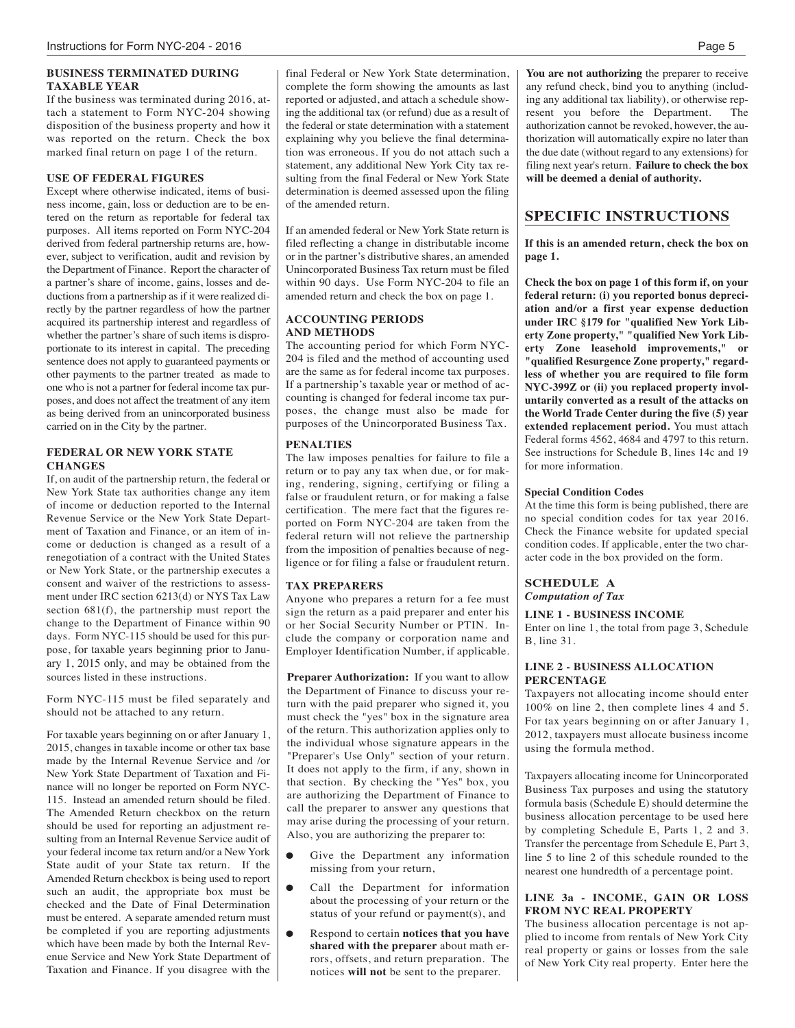#### **BUSINESS TERMINATED DURING TAXABLE YEAR**

If the business was terminated during 2016, attach a statement to Form NYC-204 showing disposition of the business property and how it was reported on the return. Check the box marked final return on page 1 of the return.

#### **USE OF FEDERAL FIGURES**

Except where otherwise indicated, items of business income, gain, loss or deduction are to be entered on the return as reportable for federal tax purposes. All items reported on Form NYC-204 derived from federal partnership returns are, however, subject to verification, audit and revision by the Department of Finance. Report the character of a partner's share of income, gains, losses and deductions from a partnership as if it were realized directly by the partner regardless of how the partner acquired its partnership interest and regardless of whether the partner's share of such items is disproportionate to its interest in capital. The preceding sentence does not apply to guaranteed payments or other payments to the partner treated as made to one who is not a partner for federal income tax purposes, and does not affect the treatment of any item as being derived from an unincorporated business carried on in the City by the partner.

#### **FEDERAL OR NEW YORK STATE CHANGES**

If, on audit of the partnership return, the federal or New York State tax authorities change any item of income or deduction reported to the Internal Revenue Service or the New York State Department of Taxation and Finance, or an item of income or deduction is changed as a result of a renegotiation of a contract with the United States or New York State, or the partnership executes a consent and waiver of the restrictions to assessment under IRC section 6213(d) or NYS Tax Law section 681(f), the partnership must report the change to the Department of Finance within 90 days. Form NYC-115 should be used for this purpose, for taxable years beginning prior to January 1, 2015 only, and may be obtained from the sources listed in these instructions.

Form NYC-115 must be filed separately and should not be attached to any return.

For taxable years beginning on or after January 1, 2015, changes in taxable income or other tax base made by the Internal Revenue Service and /or New York State Department of Taxation and Finance will no longer be reported on Form NYC-115. Instead an amended return should be filed. The Amended Return checkbox on the return should be used for reporting an adjustment resulting from an Internal Revenue Service audit of your federal income tax return and/or a New York State audit of your State tax return. If the Amended Return checkbox is being used to report such an audit, the appropriate box must be checked and the Date of Final Determination must be entered. A separate amended return must be completed if you are reporting adjustments which have been made by both the Internal Revenue Service and New York State Department of Taxation and Finance. If you disagree with the final Federal or New York State determination, complete the form showing the amounts as last reported or adjusted, and attach a schedule showing the additional tax (or refund) due as a result of the federal or state determination with a statement explaining why you believe the final determination was erroneous. If you do not attach such a statement, any additional New York City tax resulting from the final Federal or New York State determination is deemed assessed upon the filing of the amended return.

If an amended federal or New York State return is filed reflecting a change in distributable income or in the partner's distributive shares, an amended Unincorporated Business Tax return must be filed within 90 days. Use Form NYC-204 to file an amended return and check the box on page 1.

#### **ACCOUNTING PERIODS AND METHODS**

The accounting period for which Form NYC-204 is filed and the method of accounting used are the same as for federal income tax purposes. If a partnership's taxable year or method of accounting is changed for federal income tax purposes, the change must also be made for purposes of the Unincorporated Business Tax.

#### **PENALTIES**

The law imposes penalties for failure to file a return or to pay any tax when due, or for making, rendering, signing, certifying or filing a false or fraudulent return, or for making a false certification. The mere fact that the figures reported on Form NYC-204 are taken from the federal return will not relieve the partnership from the imposition of penalties because of negligence or for filing a false or fraudulent return.

#### **TAX PREPARERS**

Anyone who prepares a return for a fee must sign the return as a paid preparer and enter his or her Social Security Number or PTIN. Include the company or corporation name and Employer Identification Number, if applicable.

**Preparer Authorization:** If you want to allow the Department of Finance to discuss your return with the paid preparer who signed it, you must check the "yes" box in the signature area of the return. This authorization applies only to the individual whose signature appears in the "Preparer's Use Only" section of your return. It does not apply to the firm, if any, shown in that section. By checking the "Yes" box, you are authorizing the Department of Finance to call the preparer to answer any questions that may arise during the processing of your return. Also, you are authorizing the preparer to:

- Give the Department any information missing from your return,
- Call the Department for information about the processing of your return or the status of your refund or payment(s), and
- l Respond to certain **notices that you have shared with the preparer** about math errors, offsets, and return preparation. The notices **will not** be sent to the preparer.

**You are not authorizing** the preparer to receive any refund check, bind you to anything (including any additional tax liability), or otherwise rep-<br>resent vou before the Department The resent you before the Department. authorization cannot be revoked, however, the authorization will automatically expire no later than the due date (without regard to any extensions) for filing next year's return. **Failure to check the box will be deemed a denial of authority.**

#### **SPECIFIC INSTRUCTIONS**

**If this is an amended return, check the box on page 1.**

**Check the box on page 1 of this form if, on your federal return: (i) you reported bonus depreciation and/or a first year expense deduction under IRC §179 for "qualified New York Liberty Zone property," "qualified New York Liberty Zone leasehold improvements," or "qualified Resurgence Zone property," regardless of whether you are required to file form NYC-399Z or (ii) you replaced property involuntarily converted as a result of the attacks on the World Trade Center during the five (5) year extended replacement period.** You must attach Federal forms 4562, 4684 and 4797 to this return. See instructions for Schedule B, lines 14c and 19 for more information.

#### **Special Condition Codes**

At the time this form is being published, there are no special condition codes for tax year 2016. Check the Finance website for updated special condition codes. If applicable, enter the two character code in the box provided on the form.

#### **SCHEDULE A** *Computation of Tax*

**LINE 1 - BUSINESS INCOME** Enter on line 1, the total from page 3, Schedule

B, line 31.

#### **LINE 2 - BUSINESS ALLOCATION PERCENTAGE**

Taxpayers not allocating income should enter 100% on line 2, then complete lines 4 and 5. For tax years beginning on or after January 1, 2012, taxpayers must allocate business income using the formula method.

Taxpayers allocating income for Unincorporated Business Tax purposes and using the statutory formula basis (Schedule E) should determine the business allocation percentage to be used here by completing Schedule E, Parts 1, 2 and 3. Transfer the percentage from Schedule E, Part 3, line 5 to line 2 of this schedule rounded to the nearest one hundredth of a percentage point.

#### **LINE 3a - INCOME, GAIN OR LOSS FROM NYC REAL PROPERTY**

The business allocation percentage is not applied to income from rentals of New York City real property or gains or losses from the sale of New York City real property. Enter here the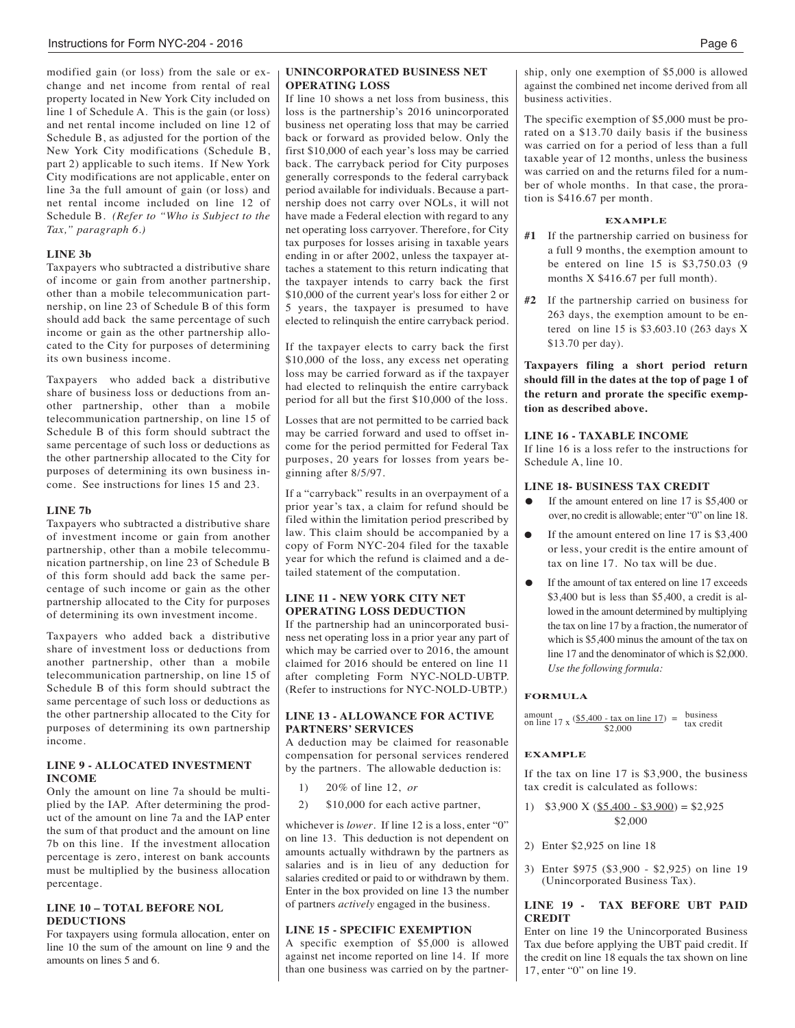modified gain (or loss) from the sale or exchange and net income from rental of real property located in New York City included on line 1 of Schedule A. This is the gain (or loss) and net rental income included on line 12 of Schedule B, as adjusted for the portion of the New York City modifications (Schedule B, part 2) applicable to such items. If New York City modifications are not applicable, enter on line 3a the full amount of gain (or loss) and net rental income included on line 12 of Schedule B. *(Refer to "Who is Subject to the Tax," paragraph 6.)*

#### **LINE 3b**

Taxpayers who subtracted a distributive share of income or gain from another partnership, other than a mobile telecommunication partnership, on line 23 of Schedule B of this form should add back the same percentage of such income or gain as the other partnership allocated to the City for purposes of determining its own business income.

Taxpayers who added back a distributive share of business loss or deductions from another partnership, other than a mobile telecommunication partnership, on line 15 of Schedule B of this form should subtract the same percentage of such loss or deductions as the other partnership allocated to the City for purposes of determining its own business income. See instructions for lines 15 and 23.

#### **LINE 7b**

Taxpayers who subtracted a distributive share of investment income or gain from another partnership, other than a mobile telecommunication partnership, on line 23 of Schedule B of this form should add back the same percentage of such income or gain as the other partnership allocated to the City for purposes of determining its own investment income.

Taxpayers who added back a distributive share of investment loss or deductions from another partnership, other than a mobile telecommunication partnership, on line 15 of Schedule B of this form should subtract the same percentage of such loss or deductions as the other partnership allocated to the City for purposes of determining its own partnership income.

#### **LINE 9 - ALLOCATED INVESTMENT INCOME**

Only the amount on line 7a should be multiplied by the IAP. After determining the product of the amount on line 7a and the IAP enter the sum of that product and the amount on line 7b on this line. If the investment allocation percentage is zero, interest on bank accounts must be multiplied by the business allocation percentage.

#### **LINE 10 – TOTAL BEFORE NOL DEDUCTIONS**

For taxpayers using formula allocation, enter on line 10 the sum of the amount on line 9 and the amounts on lines 5 and 6.

#### **UNINCORPORATED BUSINESS NET OPERATING LOSS**

If line 10 shows a net loss from business, this loss is the partnership's 2016 unincorporated business net operating loss that may be carried back or forward as provided below. Only the first \$10,000 of each year's loss may be carried back. The carryback period for City purposes generally corresponds to the federal carryback period available for individuals. Because a partnership does not carry over NOLs, it will not have made a Federal election with regard to any net operating loss carryover. Therefore, for City tax purposes for losses arising in taxable years ending in or after 2002, unless the taxpayer attaches a statement to this return indicating that the taxpayer intends to carry back the first \$10,000 of the current year's loss for either 2 or 5 years, the taxpayer is presumed to have elected to relinquish the entire carryback period.

If the taxpayer elects to carry back the first \$10,000 of the loss, any excess net operating loss may be carried forward as if the taxpayer had elected to relinquish the entire carryback period for all but the first \$10,000 of the loss.

Losses that are not permitted to be carried back may be carried forward and used to offset income for the period permitted for Federal Tax purposes, 20 years for losses from years beginning after 8/5/97.

If a "carryback" results in an overpayment of a prior year's tax, a claim for refund should be filed within the limitation period prescribed by law. This claim should be accompanied by a copy of Form NYC-204 filed for the taxable year for which the refund is claimed and a detailed statement of the computation.

#### **LINE 11 - NEW YORK CITY NET OPERATING LOSS DEDUCTION**

If the partnership had an unincorporated business net operating loss in a prior year any part of which may be carried over to 2016, the amount claimed for 2016 should be entered on line 11 after completing Form NYC-NOLD-UBTP. (Refer to instructions for NYC-NOLD-UBTP.)

#### **LINE 13 - ALLOWANCE FOR ACTIVE PARTNERS' SERVICES**

A deduction may be claimed for reasonable compensation for personal services rendered by the partners. The allowable deduction is:

- 1) 20% of line 12, *or*
- 2) \$10,000 for each active partner,

whichever is *lower*. If line 12 is a loss, enter "0" on line 13. This deduction is not dependent on amounts actually withdrawn by the partners as salaries and is in lieu of any deduction for salaries credited or paid to or withdrawn by them. Enter in the box provided on line 13 the number of partners *actively* engaged in the business.

#### **LINE 15 - SPECIFIC EXEMPTION**

A specific exemption of \$5,000 is allowed against net income reported on line 14. If more than one business was carried on by the partnership, only one exemption of \$5,000 is allowed against the combined net income derived from all business activities.

The specific exemption of \$5,000 must be prorated on a \$13.70 daily basis if the business was carried on for a period of less than a full taxable year of 12 months, unless the business was carried on and the returns filed for a number of whole months. In that case, the proration is \$416.67 per month.

#### **EXAMPLE**

- **#1** If the partnership carried on business for a full 9 months, the exemption amount to be entered on line 15 is \$3,750.03 (9 months X \$416.67 per full month).
- **#2** If the partnership carried on business for 263 days, the exemption amount to be entered on line 15 is \$3,603.10 (263 days X \$13.70 per day).

**Taxpayers filing a short period return should fill in the dates at the top of page 1 of the return and prorate the specific exemption as described above.**

#### **LINE 16 - TAXABLE INCOME**

If line 16 is a loss refer to the instructions for Schedule A, line 10.

#### **LINE 18- BUSINESS TAX CREDIT**

- If the amount entered on line 17 is \$5,400 or over, no credit is allowable; enter "0" on line 18.
- If the amount entered on line  $17$  is \$3,400 or less, your credit is the entire amount of tax on line 17. No tax will be due.
- If the amount of tax entered on line 17 exceeds \$3,400 but is less than \$5,400, a credit is allowed in the amount determined by multiplying the tax on line 17 by a fraction, the numerator of which is \$5,400 minus the amount of the tax on line 17 and the denominator of which is \$2,000. *Use the following formula:*

#### **FORMULA**

|  | on line 17 x $(\frac{$5,400 - \text{tax on line } 17)}{}$ = | business   |
|--|-------------------------------------------------------------|------------|
|  | \$2,000                                                     | tax credit |

#### **EXAMPLE**

If the tax on line 17 is \$3,900, the business tax credit is calculated as follows:

- 1)  $$3,900 \text{ X } ($5,400 $3,900) = $2,925$ \$2,000
- 2) Enter \$2,925 on line 18
- 3) Enter \$975 (\$3,900 \$2,925) on line 19 (Unincorporated Business Tax).

#### **LINE 19 - TAX BEFORE UBT PAID CREDIT**

Enter on line 19 the Unincorporated Business Tax due before applying the UBT paid credit. If the credit on line 18 equals the tax shown on line 17, enter "0" on line 19.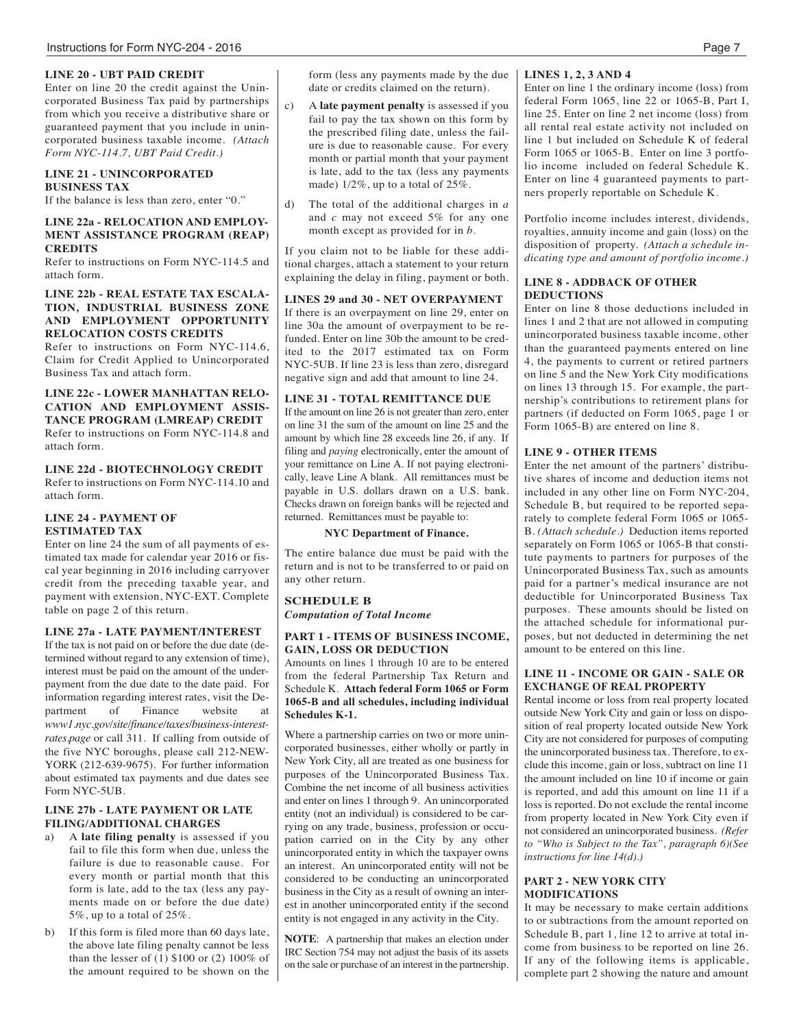#### **LINE 20 - UBT PAID CREDIT**

Enter on line 20 the credit against the Unincorporated Business Tax paid by partnerships from which you receive a distributive share or guaranteed payment that you include in unincorporated business taxable income. *(Attach Form NYC-114.7, UBT Paid Credit.)*

#### **LINE 21 - UNINCORPORATED BUSINESS TAX**

If the balance is less than zero, enter "0."

#### **LINE 22a - RELOCATION AND EMPLOY-MENT ASSISTANCE PROGRAM (REAP) CREDITS**

Refer to instructions on Form NYC-114.5 and attach form.

#### **LINE 22b - REAL ESTATE TAX ESCALA-TION, INDUSTRIAL BUSINESS ZONE AND EMPLOYMENT OPPORTUNITY RELOCATION COSTS CREDITS**

Refer to instructions on Form NYC-114.6, Claim for Credit Applied to Unincorporated Business Tax and attach form.

#### **LINE 22c - LOWER MANHATTAN RELO-CATION AND EMPLOYMENT ASSIS-TANCE PROGRAM (LMREAP) CREDIT** Refer to instructions on Form NYC-114.8 and attach form.

#### **LINE 22d - BIOTECHNOLOGY CREDIT**

Refer to instructions on Form NYC-114.10 and attach form.

#### **LINE 24 - PAYMENT OF ESTIMATED TAX**

Enter on line 24 the sum of all payments of estimated tax made for calendar year 2016 or fiscal year beginning in 2016 including carryover credit from the preceding taxable year, and payment with extension, NYC-EXT. Complete table on page 2 of this return.

#### **LINE 27a - LATE PAYMENT/INTEREST**

If the tax is not paid on or before the due date (determined without regard to any extension of time), interest must be paid on the amount of the underpayment from the due date to the date paid. For information regarding interest rates, visit the De-<br>partment of Finance website at Finance website at *www1.nyc.gov/site/finance/taxes/business-interestrates.page* or call 311. If calling from outside of the five NYC boroughs, please call 212-NEW-YORK (212-639-9675). For further information about estimated tax payments and due dates see Form NYC-5UB.

### **LINE 27b - LATE PAYMENT OR LATE FILING/ADDITIONAL CHARGES**

- a) A **late filing penalty** is assessed if you fail to file this form when due, unless the failure is due to reasonable cause. For every month or partial month that this form is late, add to the tax (less any payments made on or before the due date) 5%, up to a total of 25%.
- b) If this form is filed more than 60 days late, the above late filing penalty cannot be less than the lesser of (1) \$100 or (2) 100% of the amount required to be shown on the

form (less any payments made by the due **LINES 1, 2, 3 AND 4** date or credits claimed on the return).

- c) A **late payment penalty** is assessed if you fail to pay the tax shown on this form by the prescribed filing date, unless the failure is due to reasonable cause. For every month or partial month that your payment is late, add to the tax (less any payments made)  $1/2\%$ , up to a total of  $25\%$ .
- The total of the additional charges in *a* and *c* may not exceed 5% for any one month except as provided for in *b.*

If you claim not to be liable for these additional charges, attach a statement to your return explaining the delay in filing, payment or both.

#### **LINES 29 and 30 - NET OVERPAYMENT**

If there is an overpayment on line 29, enter on line 30a the amount of overpayment to be refunded. Enter on line 30b the amount to be credited to the 2017 estimated tax on Form NYC-5UB. If line 23 is less than zero, disregard negative sign and add that amount to line 24.

#### **LINE 31 - TOTAL REMITTANCE DUE**

If the amount on line 26 is not greater than zero, enter on line 31 the sum of the amount on line 25 and the amount by which line 28 exceeds line 26, if any. If filing and *paying* electronically, enter the amount of your remittance on Line A. If not paying electronically, leave Line A blank. All remittances must be payable in U.S. dollars drawn on a U.S. bank. Checks drawn on foreign banks will be rejected and returned. Remittances must be payable to:

#### **NYC Department of Finance.**

The entire balance due must be paid with the return and is not to be transferred to or paid on any other return.

#### **SCHEDULE B** *Computation of Total Income*

#### **PART 1 - ITEMS OF BUSINESS INCOME, GAIN, LOSS OR DEDUCTION**

Amounts on lines 1 through 10 are to be entered from the federal Partnership Tax Return and Schedule K. **Attach federal Form 1065 or Form 1065-B and all schedules, including individual Schedules K-1.**

Where a partnership carries on two or more unincorporated businesses, either wholly or partly in New York City, all are treated as one business for purposes of the Unincorporated Business Tax. Combine the net income of all business activities and enter on lines 1 through 9. An unincorporated entity (not an individual) is considered to be carrying on any trade, business, profession or occupation carried on in the City by any other unincorporated entity in which the taxpayer owns an interest. An unincorporated entity will not be considered to be conducting an unincorporated business in the City as a result of owning an interest in another unincorporated entity if the second entity is not engaged in any activity in the City.

**NOTE**: A partnership that makes an election under IRC Section 754 may not adjust the basis of its assets on the sale or purchase of an interest in the partnership.

Enter on line 1 the ordinary income (loss) from federal Form 1065, line 22 or 1065-B, Part I, line 25. Enter on line 2 net income (loss) from all rental real estate activity not included on line 1 but included on Schedule K of federal Form 1065 or 1065-B. Enter on line 3 portfolio income included on federal Schedule K. Enter on line 4 guaranteed payments to partners properly reportable on Schedule K.

Portfolio income includes interest, dividends, royalties, annuity income and gain (loss) on the disposition of property. *(Attach a schedule indicating type and amount of portfolio income.)*

#### **LINE 8 - ADDBACK OF OTHER DEDUCTIONS**

Enter on line 8 those deductions included in lines 1 and 2 that are not allowed in computing unincorporated business taxable income, other than the guaranteed payments entered on line 4, the payments to current or retired partners on line 5 and the New York City modifications on lines 13 through 15. For example, the partnership's contributions to retirement plans for partners (if deducted on Form 1065, page 1 or Form 1065-B) are entered on line 8.

#### **LINE 9 - OTHER ITEMS**

Enter the net amount of the partners' distributive shares of income and deduction items not included in any other line on Form NYC-204, Schedule B, but required to be reported separately to complete federal Form 1065 or 1065- B. *(Attach schedule.)* Deduction items reported separately on Form 1065 or 1065-B that constitute payments to partners for purposes of the Unincorporated Business Tax, such as amounts paid for a partner's medical insurance are not deductible for Unincorporated Business Tax purposes. These amounts should be listed on the attached schedule for informational purposes, but not deducted in determining the net amount to be entered on this line.

#### **LINE 11 - INCOME OR GAIN - SALE OR EXCHANGE OF REAL PROPERTY**

Rental income or loss from real property located outside New York City and gain or loss on disposition of real property located outside New York City are not considered for purposes of computing the unincorporated business tax. Therefore, to exclude this income, gain or loss, subtract on line 11 the amount included on line 10 if income or gain is reported, and add this amount on line 11 if a loss is reported. Do not exclude the rental income from property located in New York City even if not considered an unincorporated business. *(Refer to "Who is Subject to the Tax", paragraph 6)(See instructions for line 14(d).)*

#### **PART 2 - NEW YORK CITY MODIFICATIONS**

It may be necessary to make certain additions to or subtractions from the amount reported on Schedule B, part 1, line 12 to arrive at total income from business to be reported on line 26. If any of the following items is applicable, complete part 2 showing the nature and amount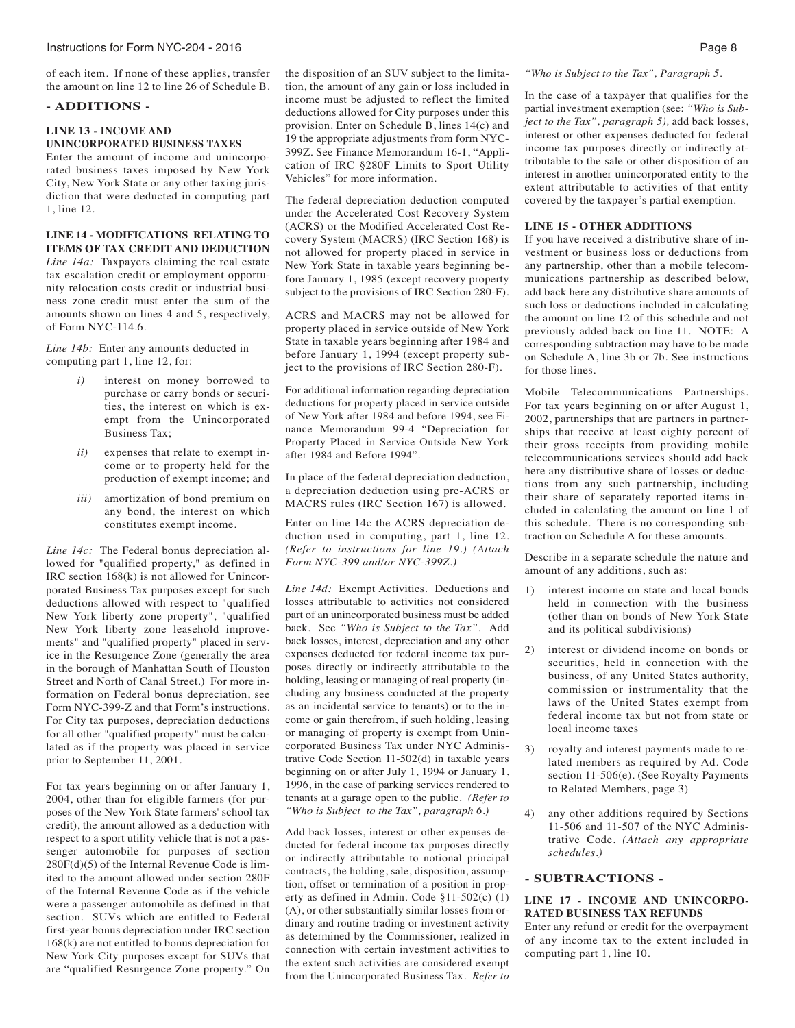of each item. If none of these applies, transfer the amount on line 12 to line 26 of Schedule B.

#### **- ADDITIONS -**

#### **LINE 13 - INCOME AND UNINCORPORATED BUSINESS TAXES**

Enter the amount of income and unincorporated business taxes imposed by New York City, New York State or any other taxing jurisdiction that were deducted in computing part 1, line 12.

#### **LINE 14 - MODIFICATIONS RELATING TO ITEMS OF TAX CREDIT AND DEDUCTION**

*Line 14a:* Taxpayers claiming the real estate tax escalation credit or employment opportunity relocation costs credit or industrial business zone credit must enter the sum of the amounts shown on lines 4 and 5, respectively, of Form NYC-114.6.

*Line 14b:* Enter any amounts deducted in computing part 1, line 12, for:

- *i)* interest on money borrowed to purchase or carry bonds or securities, the interest on which is exempt from the Unincorporated Business Tax;
- *ii)* expenses that relate to exempt income or to property held for the production of exempt income; and
- *iii)* amortization of bond premium on any bond, the interest on which constitutes exempt income.

*Line 14c:* The Federal bonus depreciation allowed for "qualified property," as defined in IRC section 168(k) is not allowed for Unincorporated Business Tax purposes except for such deductions allowed with respect to "qualified New York liberty zone property", "qualified New York liberty zone leasehold improvements" and "qualified property" placed in service in the Resurgence Zone (generally the area in the borough of Manhattan South of Houston Street and North of Canal Street.) For more information on Federal bonus depreciation, see Form NYC-399-Z and that Form's instructions. For City tax purposes, depreciation deductions for all other "qualified property" must be calculated as if the property was placed in service prior to September 11, 2001.

For tax years beginning on or after January 1, 2004, other than for eligible farmers (for purposes of the New York State farmers' school tax credit), the amount allowed as a deduction with respect to a sport utility vehicle that is not a passenger automobile for purposes of section 280F(d)(5) of the Internal Revenue Code is limited to the amount allowed under section 280F of the Internal Revenue Code as if the vehicle were a passenger automobile as defined in that section. SUVs which are entitled to Federal first-year bonus depreciation under IRC section 168(k) are not entitled to bonus depreciation for New York City purposes except for SUVs that are "qualified Resurgence Zone property." On the disposition of an SUV subject to the limitation, the amount of any gain or loss included in income must be adjusted to reflect the limited deductions allowed for City purposes under this provision. Enter on Schedule B, lines 14(c) and 19 the appropriate adjustments from form NYC-399Z. See Finance Memorandum 16-1, "Application of IRC §280F Limits to Sport Utility Vehicles" for more information.

The federal depreciation deduction computed under the Accelerated Cost Recovery System (ACRS) or the Modified Accelerated Cost Recovery System (MACRS) (IRC Section 168) is not allowed for property placed in service in New York State in taxable years beginning before January 1, 1985 (except recovery property subject to the provisions of IRC Section 280-F).

ACRS and MACRS may not be allowed for property placed in service outside of New York State in taxable years beginning after 1984 and before January 1, 1994 (except property subject to the provisions of IRC Section 280-F).

For additional information regarding depreciation deductions for property placed in service outside of New York after 1984 and before 1994, see Finance Memorandum 99-4 "Depreciation for Property Placed in Service Outside New York after 1984 and Before 1994".

In place of the federal depreciation deduction, a depreciation deduction using pre-ACRS or MACRS rules (IRC Section 167) is allowed.

Enter on line 14c the ACRS depreciation deduction used in computing, part 1, line 12. *(Refer to instructions for line 19.) (Attach Form NYC-399 and/or NYC-399Z.)*

*Line 14d:* Exempt Activities. Deductions and losses attributable to activities not considered part of an unincorporated business must be added back. See *"Who is Subject to the Tax".* Add back losses, interest, depreciation and any other expenses deducted for federal income tax purposes directly or indirectly attributable to the holding, leasing or managing of real property (including any business conducted at the property as an incidental service to tenants) or to the income or gain therefrom, if such holding, leasing or managing of property is exempt from Unincorporated Business Tax under NYC Administrative Code Section 11-502(d) in taxable years beginning on or after July 1, 1994 or January 1, 1996, in the case of parking services rendered to tenants at a garage open to the public. *(Refer to "Who is Subject to the Tax", paragraph 6.)*

Add back losses, interest or other expenses deducted for federal income tax purposes directly or indirectly attributable to notional principal contracts, the holding, sale, disposition, assumption, offset or termination of a position in property as defined in Admin. Code §11-502(c) (1) (A), or other substantially similar losses from ordinary and routine trading or investment activity as determined by the Commissioner, realized in connection with certain investment activities to the extent such activities are considered exempt from the Unincorporated Business Tax. *Refer to* *"Who is Subject to the Tax", Paragraph 5.*

In the case of a taxpayer that qualifies for the partial investment exemption (see: *"Who is Subject to the Tax", paragraph 5),* add back losses, interest or other expenses deducted for federal income tax purposes directly or indirectly attributable to the sale or other disposition of an interest in another unincorporated entity to the extent attributable to activities of that entity covered by the taxpayer's partial exemption.

#### **LINE 15 - OTHER ADDITIONS**

If you have received a distributive share of investment or business loss or deductions from any partnership, other than a mobile telecommunications partnership as described below, add back here any distributive share amounts of such loss or deductions included in calculating the amount on line 12 of this schedule and not previously added back on line 11. NOTE: A corresponding subtraction may have to be made on Schedule A, line 3b or 7b. See instructions for those lines.

Mobile Telecommunications Partnerships. For tax years beginning on or after August 1, 2002, partnerships that are partners in partnerships that receive at least eighty percent of their gross receipts from providing mobile telecommunications services should add back here any distributive share of losses or deductions from any such partnership, including their share of separately reported items included in calculating the amount on line 1 of this schedule. There is no corresponding subtraction on Schedule A for these amounts.

Describe in a separate schedule the nature and amount of any additions, such as:

- interest income on state and local bonds held in connection with the business (other than on bonds of New York State and its political subdivisions)
- 2) interest or dividend income on bonds or securities, held in connection with the business, of any United States authority, commission or instrumentality that the laws of the United States exempt from federal income tax but not from state or local income taxes
- 3) royalty and interest payments made to related members as required by Ad. Code section 11-506(e). (See Royalty Payments to Related Members, page 3)
- 4) any other additions required by Sections 11-506 and 11-507 of the NYC Administrative Code. *(Attach any appropriate schedules.)*

#### **- SUBTRACTIONS -**

#### **LINE 17 - INCOME AND UNINCORPO-RATED BUSINESS TAX REFUNDS**

Enter any refund or credit for the overpayment of any income tax to the extent included in computing part 1, line 10.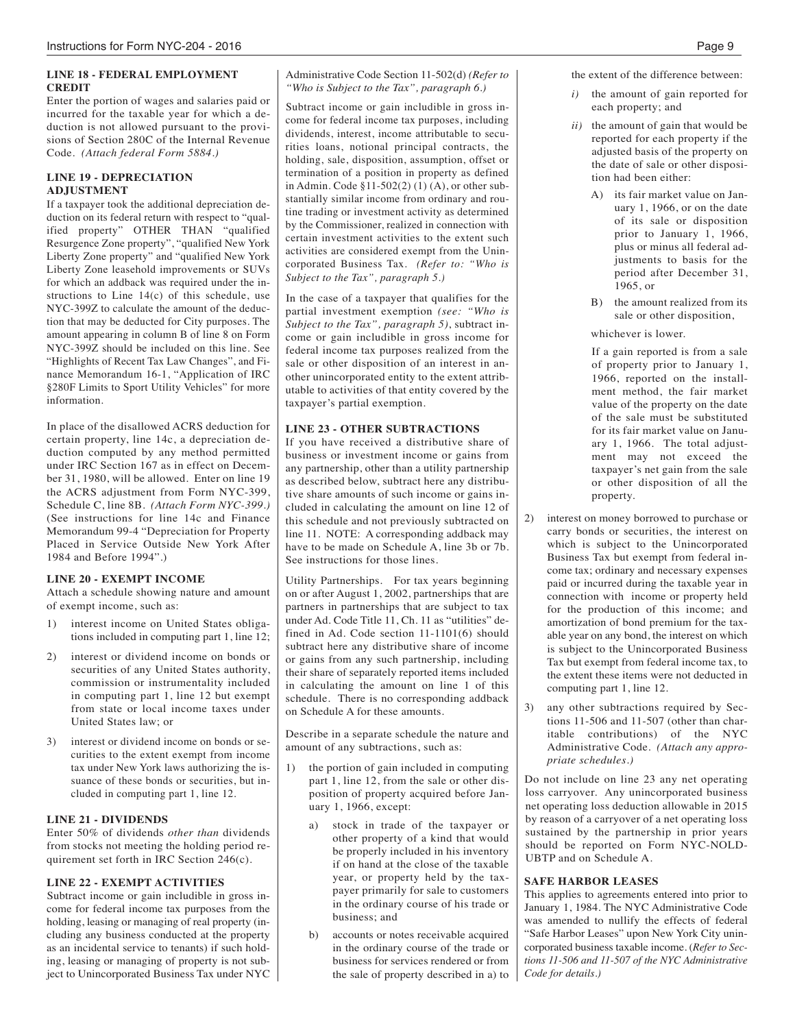#### **LINE 18 - FEDERAL EMPLOYMENT CREDIT**

Enter the portion of wages and salaries paid or incurred for the taxable year for which a deduction is not allowed pursuant to the provisions of Section 280C of the Internal Revenue Code. *(Attach federal Form 5884.)*

#### **LINE 19 - DEPRECIATION ADJUSTMENT**

If a taxpayer took the additional depreciation deduction on its federal return with respect to "qualified property" OTHER THAN "qualified Resurgence Zone property", "qualified New York Liberty Zone property" and "qualified New York Liberty Zone leasehold improvements or SUVs for which an addback was required under the instructions to Line 14(c) of this schedule, use NYC-399Z to calculate the amount of the deduction that may be deducted for City purposes. The amount appearing in column B of line 8 on Form NYC-399Z should be included on this line. See "Highlights of Recent Tax Law Changes", and Finance Memorandum 16-1, "Application of IRC §280F Limits to Sport Utility Vehicles" for more information.

In place of the disallowed ACRS deduction for certain property, line 14c, a depreciation deduction computed by any method permitted under IRC Section 167 as in effect on December 31, 1980, will be allowed. Enter on line 19 the ACRS adjustment from Form NYC-399, Schedule C, line 8B. *(Attach Form NYC-399.)* (See instructions for line 14c and Finance Memorandum 99-4 "Depreciation for Property Placed in Service Outside New York After 1984 and Before 1994".)

#### **LINE 20 - EXEMPT INCOME**

Attach a schedule showing nature and amount of exempt income, such as:

- 1) interest income on United States obligations included in computing part 1, line 12;
- 2) interest or dividend income on bonds or securities of any United States authority, commission or instrumentality included in computing part 1, line 12 but exempt from state or local income taxes under United States law; or
- 3) interest or dividend income on bonds or securities to the extent exempt from income tax under New York laws authorizing the issuance of these bonds or securities, but included in computing part 1, line 12.

#### **LINE 21 - DIVIDENDS**

Enter 50% of dividends *other than* dividends from stocks not meeting the holding period requirement set forth in IRC Section 246(c).

#### **LINE 22 - EXEMPT ACTIVITIES**

Subtract income or gain includible in gross income for federal income tax purposes from the holding, leasing or managing of real property (including any business conducted at the property as an incidental service to tenants) if such holding, leasing or managing of property is not subject to Unincorporated Business Tax under NYC Administrative Code Section 11-502(d) *(Refer to "Who is Subject to the Tax", paragraph 6.)*

Subtract income or gain includible in gross income for federal income tax purposes, including dividends, interest, income attributable to securities loans, notional principal contracts, the holding, sale, disposition, assumption, offset or termination of a position in property as defined in Admin. Code §11-502(2) (1) (A), or other substantially similar income from ordinary and routine trading or investment activity as determined by the Commissioner, realized in connection with certain investment activities to the extent such activities are considered exempt from the Unincorporated Business Tax. *(Refer to: "Who is Subject to the Tax", paragraph 5.)*

In the case of a taxpayer that qualifies for the partial investment exemption *(see: "Who is Subject to the Tax", paragraph 5)*, subtract income or gain includible in gross income for federal income tax purposes realized from the sale or other disposition of an interest in another unincorporated entity to the extent attributable to activities of that entity covered by the taxpayer's partial exemption.

#### **LINE 23 - OTHER SUBTRACTIONS**

If you have received a distributive share of business or investment income or gains from any partnership, other than a utility partnership as described below, subtract here any distributive share amounts of such income or gains included in calculating the amount on line 12 of this schedule and not previously subtracted on line 11. NOTE: A corresponding addback may have to be made on Schedule A. line 3b or 7h. See instructions for those lines.

Utility Partnerships. For tax years beginning on or after August 1, 2002, partnerships that are partners in partnerships that are subject to tax under Ad. Code Title 11, Ch. 11 as "utilities" defined in Ad. Code section 11-1101(6) should subtract here any distributive share of income or gains from any such partnership, including their share of separately reported items included in calculating the amount on line 1 of this schedule. There is no corresponding addback on Schedule A for these amounts.

Describe in a separate schedule the nature and amount of any subtractions, such as:

- 1) the portion of gain included in computing part 1, line 12, from the sale or other disposition of property acquired before January 1, 1966, except:
	- a) stock in trade of the taxpayer or other property of a kind that would be properly included in his inventory if on hand at the close of the taxable year, or property held by the taxpayer primarily for sale to customers in the ordinary course of his trade or business; and
	- b) accounts or notes receivable acquired in the ordinary course of the trade or business for services rendered or from the sale of property described in a) to

the extent of the difference between:

- *i)* the amount of gain reported for each property; and
- *ii)* the amount of gain that would be reported for each property if the adjusted basis of the property on the date of sale or other disposition had been either:
	- A) its fair market value on January 1, 1966, or on the date of its sale or disposition prior to January 1, 1966, plus or minus all federal adjustments to basis for the period after December 31, 1965, or
	- B) the amount realized from its sale or other disposition,
	- whichever is lower.

If a gain reported is from a sale of property prior to January 1, 1966, reported on the installment method, the fair market value of the property on the date of the sale must be substituted for its fair market value on January 1, 1966. The total adjustment may not exceed the taxpayer's net gain from the sale or other disposition of all the property.

- 2) interest on money borrowed to purchase or carry bonds or securities, the interest on which is subject to the Unincorporated Business Tax but exempt from federal income tax; ordinary and necessary expenses paid or incurred during the taxable year in connection with income or property held for the production of this income; and amortization of bond premium for the taxable year on any bond, the interest on which is subject to the Unincorporated Business Tax but exempt from federal income tax, to the extent these items were not deducted in computing part 1, line 12.
- 3) any other subtractions required by Sections 11-506 and 11-507 (other than charitable contributions) of the NYC Administrative Code. *(Attach any appropriate schedules.)*

Do not include on line 23 any net operating loss carryover. Any unincorporated business net operating loss deduction allowable in 2015 by reason of a carryover of a net operating loss sustained by the partnership in prior years should be reported on Form NYC-NOLD-UBTP and on Schedule A.

#### **SAFE HARBOR LEASES**

This applies to agreements entered into prior to January 1, 1984. The NYC Administrative Code was amended to nullify the effects of federal "Safe Harbor Leases" upon New York City unincorporated business taxable income. (*Refer to Sections 11-506 and 11-507 of the NYC Administrative Code for details.)*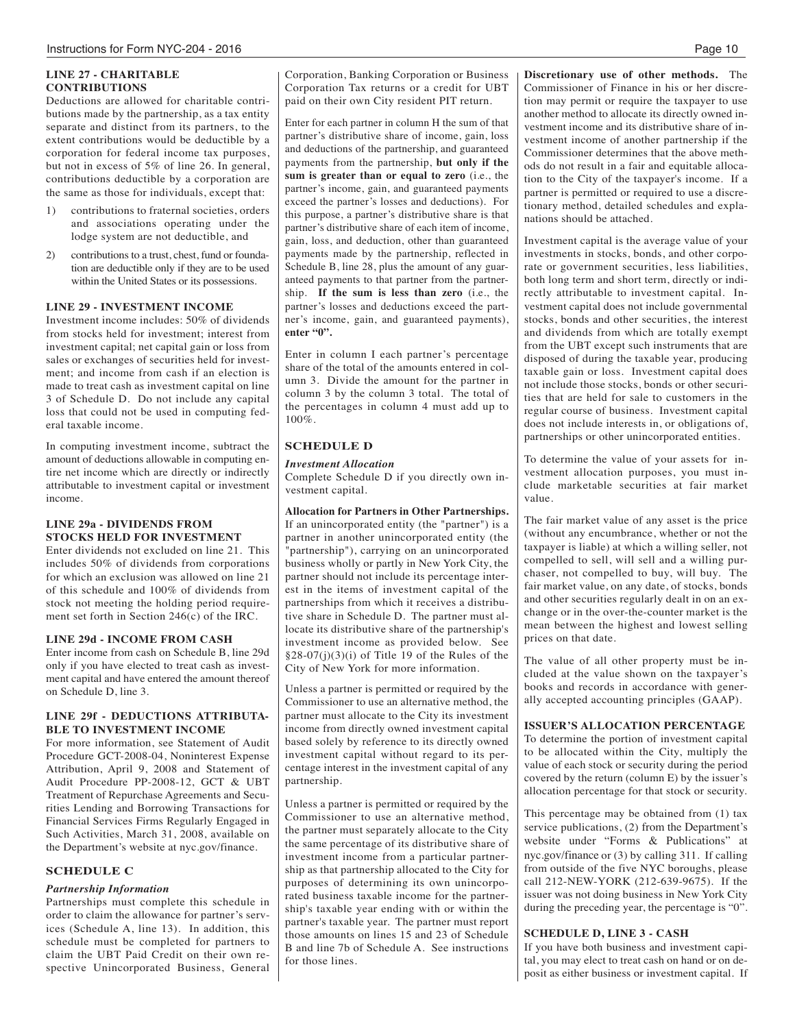#### **LINE 27 - CHARITABLE CONTRIBUTIONS**

Deductions are allowed for charitable contributions made by the partnership, as a tax entity separate and distinct from its partners, to the extent contributions would be deductible by a corporation for federal income tax purposes, but not in excess of 5% of line 26. In general, contributions deductible by a corporation are the same as those for individuals, except that:

- 1) contributions to fraternal societies, orders and associations operating under the lodge system are not deductible, and
- 2) contributions to a trust, chest, fund or foundation are deductible only if they are to be used within the United States or its possessions.

#### **LINE 29 - INVESTMENT INCOME**

Investment income includes: 50% of dividends from stocks held for investment; interest from investment capital; net capital gain or loss from sales or exchanges of securities held for investment; and income from cash if an election is made to treat cash as investment capital on line 3 of Schedule D. Do not include any capital loss that could not be used in computing federal taxable income.

In computing investment income, subtract the amount of deductions allowable in computing entire net income which are directly or indirectly attributable to investment capital or investment income.

#### **LINE 29a - DIVIDENDS FROM STOCKS HELD FOR INVESTMENT**

Enter dividends not excluded on line 21. This includes 50% of dividends from corporations for which an exclusion was allowed on line 21 of this schedule and 100% of dividends from stock not meeting the holding period requirement set forth in Section 246(c) of the IRC.

#### **LINE 29d - INCOME FROM CASH**

Enter income from cash on Schedule B, line 29d only if you have elected to treat cash as investment capital and have entered the amount thereof on Schedule D, line 3.

#### **LINE 29f - DEDUCTIONS ATTRIBUTA-BLE TO INVESTMENT INCOME**

For more information, see Statement of Audit Procedure GCT-2008-04, Noninterest Expense Attribution, April 9, 2008 and Statement of Audit Procedure PP-2008-12, GCT & UBT Treatment of Repurchase Agreements and Securities Lending and Borrowing Transactions for Financial Services Firms Regularly Engaged in Such Activities, March 31, 2008, available on the Department's website at nyc.gov/finance.

#### **SCHEDULE C**

#### *Partnership Information*

Partnerships must complete this schedule in order to claim the allowance for partner's services (Schedule A, line 13). In addition, this schedule must be completed for partners to claim the UBT Paid Credit on their own respective Unincorporated Business, General Corporation, Banking Corporation or Business Corporation Tax returns or a credit for UBT paid on their own City resident PIT return.

Enter for each partner in column H the sum of that partner's distributive share of income, gain, loss and deductions of the partnership, and guaranteed payments from the partnership, **but only if the sum is greater than or equal to zero** (i.e., the partner's income, gain, and guaranteed payments exceed the partner's losses and deductions). For this purpose, a partner's distributive share is that partner's distributive share of each item of income, gain, loss, and deduction, other than guaranteed payments made by the partnership, reflected in Schedule B, line 28, plus the amount of any guaranteed payments to that partner from the partnership. **If the sum is less than zero** (i.e., the partner's losses and deductions exceed the partner's income, gain, and guaranteed payments), **enter "0".**

Enter in column I each partner's percentage share of the total of the amounts entered in column 3. Divide the amount for the partner in column 3 by the column 3 total. The total of the percentages in column 4 must add up to 100%.

#### **SCHEDULE D**

#### *Investment Allocation*

Complete Schedule D if you directly own investment capital.

**Allocation for Partners in Other Partnerships.** If an unincorporated entity (the "partner") is a partner in another unincorporated entity (the "partnership"), carrying on an unincorporated business wholly or partly in New York City, the partner should not include its percentage interest in the items of investment capital of the partnerships from which it receives a distributive share in Schedule D. The partner must allocate its distributive share of the partnership's investment income as provided below. See §28-07(j)(3)(i) of Title 19 of the Rules of the City of New York for more information.

Unless a partner is permitted or required by the Commissioner to use an alternative method, the partner must allocate to the City its investment income from directly owned investment capital based solely by reference to its directly owned investment capital without regard to its percentage interest in the investment capital of any partnership.

Unless a partner is permitted or required by the Commissioner to use an alternative method, the partner must separately allocate to the City the same percentage of its distributive share of investment income from a particular partnership as that partnership allocated to the City for purposes of determining its own unincorporated business taxable income for the partnership's taxable year ending with or within the partner's taxable year. The partner must report those amounts on lines 15 and 23 of Schedule B and line 7b of Schedule A. See instructions for those lines.

**Discretionary use of other methods.** The Commissioner of Finance in his or her discretion may permit or require the taxpayer to use another method to allocate its directly owned investment income and its distributive share of investment income of another partnership if the Commissioner determines that the above methods do not result in a fair and equitable allocation to the City of the taxpayer's income. If a partner is permitted or required to use a discretionary method, detailed schedules and explanations should be attached.

Investment capital is the average value of your investments in stocks, bonds, and other corporate or government securities, less liabilities, both long term and short term, directly or indirectly attributable to investment capital. Investment capital does not include governmental stocks, bonds and other securities, the interest and dividends from which are totally exempt from the UBT except such instruments that are disposed of during the taxable year, producing taxable gain or loss. Investment capital does not include those stocks, bonds or other securities that are held for sale to customers in the regular course of business. Investment capital does not include interests in, or obligations of, partnerships or other unincorporated entities.

To determine the value of your assets for investment allocation purposes, you must include marketable securities at fair market value.

The fair market value of any asset is the price (without any encumbrance, whether or not the taxpayer is liable) at which a willing seller, not compelled to sell, will sell and a willing purchaser, not compelled to buy, will buy. The fair market value, on any date, of stocks, bonds and other securities regularly dealt in on an exchange or in the over-the-counter market is the mean between the highest and lowest selling prices on that date.

The value of all other property must be included at the value shown on the taxpayer's books and records in accordance with generally accepted accounting principles (GAAP).

#### **ISSUER'S ALLOCATION PERCENTAGE**

To determine the portion of investment capital to be allocated within the City, multiply the value of each stock or security during the period covered by the return (column E) by the issuer's allocation percentage for that stock or security.

This percentage may be obtained from (1) tax service publications, (2) from the Department's website under "Forms & Publications" at nyc.gov/finance or (3) by calling 311. If calling from outside of the five NYC boroughs, please call 212-NEW-YORK (212-639-9675). If the issuer was not doing business in New York City during the preceding year, the percentage is "0".

#### **SCHEDULE D, LINE 3 - CASH**

If you have both business and investment capital, you may elect to treat cash on hand or on deposit as either business or investment capital. If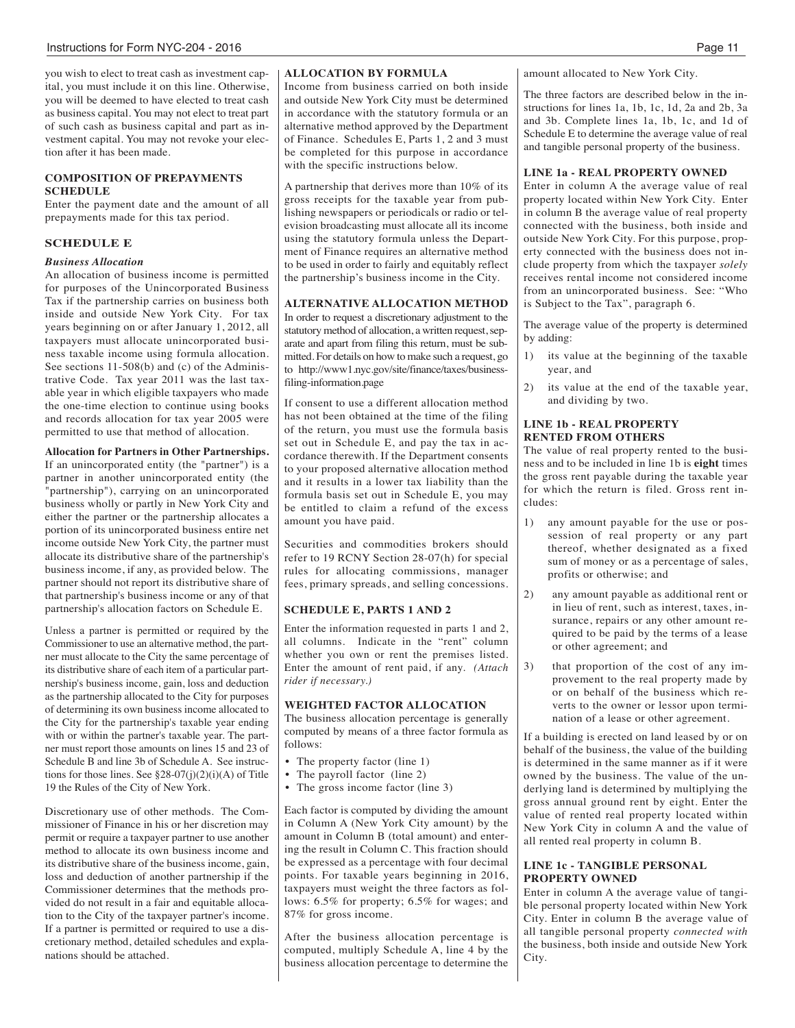you wish to elect to treat cash as investment capital, you must include it on this line. Otherwise, you will be deemed to have elected to treat cash as business capital. You may not elect to treat part of such cash as business capital and part as investment capital. You may not revoke your election after it has been made.

#### **COMPOSITION OF PREPAYMENTS SCHEDULE**

Enter the payment date and the amount of all prepayments made for this tax period.

#### **SCHEDULE E**

#### *Business Allocation*

An allocation of business income is permitted for purposes of the Unincorporated Business Tax if the partnership carries on business both inside and outside New York City. For tax years beginning on or after January 1, 2012, all taxpayers must allocate unincorporated business taxable income using formula allocation. See sections 11-508(b) and (c) of the Administrative Code. Tax year 2011 was the last taxable year in which eligible taxpayers who made the one-time election to continue using books and records allocation for tax year 2005 were permitted to use that method of allocation.

**Allocation for Partners in Other Partnerships.** If an unincorporated entity (the "partner") is a partner in another unincorporated entity (the "partnership"), carrying on an unincorporated business wholly or partly in New York City and either the partner or the partnership allocates a portion of its unincorporated business entire net income outside New York City, the partner must allocate its distributive share of the partnership's business income, if any, as provided below. The partner should not report its distributive share of that partnership's business income or any of that partnership's allocation factors on Schedule E.

Unless a partner is permitted or required by the Commissioner to use an alternative method, the partner must allocate to the City the same percentage of its distributive share of each item of a particular partnership's business income, gain, loss and deduction as the partnership allocated to the City for purposes of determining its own business income allocated to the City for the partnership's taxable year ending with or within the partner's taxable year. The partner must report those amounts on lines 15 and 23 of Schedule B and line 3b of Schedule A. See instructions for those lines. See  $\S 28-07(i)(2)(i)$ (A) of Title 19 the Rules of the City of New York.

Discretionary use of other methods. The Commissioner of Finance in his or her discretion may permit or require a taxpayer partner to use another method to allocate its own business income and its distributive share of the business income, gain, loss and deduction of another partnership if the Commissioner determines that the methods provided do not result in a fair and equitable allocation to the City of the taxpayer partner's income. If a partner is permitted or required to use a discretionary method, detailed schedules and explanations should be attached.

#### **ALLOCATION BY FORMULA**

Income from business carried on both inside and outside New York City must be determined in accordance with the statutory formula or an alternative method approved by the Department of Finance. Schedules E, Parts 1, 2 and 3 must be completed for this purpose in accordance with the specific instructions below.

A partnership that derives more than 10% of its gross receipts for the taxable year from publishing newspapers or periodicals or radio or television broadcasting must allocate all its income using the statutory formula unless the Department of Finance requires an alternative method to be used in order to fairly and equitably reflect the partnership's business income in the City.

#### **ALTERNATIVE ALLOCATION METHOD**

In order to request a discretionary adjustment to the statutory method of allocation, a written request, separate and apart from filing this return, must be submitted. For details on how to make such a request, go to http://www1.nyc.gov/site/finance/taxes/businessfiling-information.page

If consent to use a different allocation method has not been obtained at the time of the filing of the return, you must use the formula basis set out in Schedule E, and pay the tax in accordance therewith. If the Department consents to your proposed alternative allocation method and it results in a lower tax liability than the formula basis set out in Schedule E, you may be entitled to claim a refund of the excess amount you have paid.

Securities and commodities brokers should refer to 19 RCNY Section 28-07(h) for special rules for allocating commissions, manager fees, primary spreads, and selling concessions.

#### **SCHEDULE E, PARTS 1 AND 2**

Enter the information requested in parts 1 and 2, all columns. Indicate in the "rent" column whether you own or rent the premises listed. Enter the amount of rent paid, if any. *(Attach rider if necessary.)*

#### **WEIGHTED FACTOR ALLOCATION**

The business allocation percentage is generally computed by means of a three factor formula as follows:

- The property factor (line 1)
- The payroll factor (line 2)
- The gross income factor (line 3)

Each factor is computed by dividing the amount in Column A (New York City amount) by the amount in Column B (total amount) and entering the result in Column C. This fraction should be expressed as a percentage with four decimal points. For taxable years beginning in 2016, taxpayers must weight the three factors as follows: 6.5% for property; 6.5% for wages; and 87% for gross income.

After the business allocation percentage is computed, multiply Schedule A, line 4 by the business allocation percentage to determine the amount allocated to New York City.

The three factors are described below in the instructions for lines 1a, 1b, 1c, 1d, 2a and 2b, 3a and 3b. Complete lines 1a, 1b, 1c, and 1d of Schedule E to determine the average value of real and tangible personal property of the business.

#### **LINE 1a - REAL PROPERTY OWNED**

Enter in column A the average value of real property located within New York City. Enter in column B the average value of real property connected with the business, both inside and outside New York City. For this purpose, property connected with the business does not include property from which the taxpayer *solely* receives rental income not considered income from an unincorporated business. See: "Who is Subject to the Tax", paragraph 6.

The average value of the property is determined by adding:

- its value at the beginning of the taxable year, and
- 2) its value at the end of the taxable year, and dividing by two.

#### **LINE 1b - REAL PROPERTY RENTED FROM OTHERS**

The value of real property rented to the business and to be included in line 1b is **eight** times the gross rent payable during the taxable year for which the return is filed. Gross rent includes:

- 1) any amount payable for the use or possession of real property or any part thereof, whether designated as a fixed sum of money or as a percentage of sales, profits or otherwise; and
- 2) any amount payable as additional rent or in lieu of rent, such as interest, taxes, insurance, repairs or any other amount required to be paid by the terms of a lease or other agreement; and
- 3) that proportion of the cost of any improvement to the real property made by or on behalf of the business which reverts to the owner or lessor upon termination of a lease or other agreement.

If a building is erected on land leased by or on behalf of the business, the value of the building is determined in the same manner as if it were owned by the business. The value of the underlying land is determined by multiplying the gross annual ground rent by eight. Enter the value of rented real property located within New York City in column A and the value of all rented real property in column B.

#### **LINE 1c - TANGIBLE PERSONAL PROPERTY OWNED**

Enter in column A the average value of tangible personal property located within New York City. Enter in column B the average value of all tangible personal property *connected with* the business, both inside and outside New York City.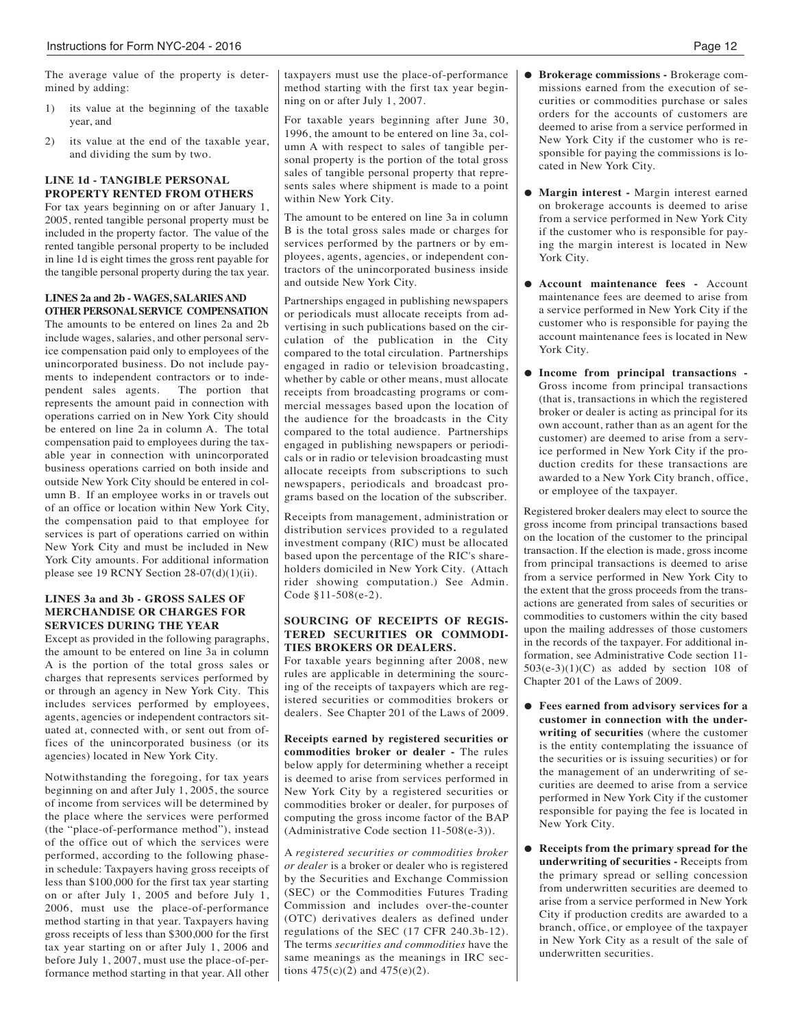The average value of the property is determined by adding:

- 1) its value at the beginning of the taxable year, and
- 2) its value at the end of the taxable year, and dividing the sum by two.

#### **LINE 1d - TANGIBLE PERSONAL PROPERTY RENTED FROM OTHERS**

For tax years beginning on or after January 1, 2005, rented tangible personal property must be included in the property factor. The value of the rented tangible personal property to be included in line 1d is eight times the gross rent payable for the tangible personal property during the tax year.

#### **LINES 2a and 2b - WAGES, SALARIESAND OTHER PERSONALSERVICE COMPENSATION**

The amounts to be entered on lines 2a and 2b include wages, salaries, and other personal service compensation paid only to employees of the unincorporated business. Do not include payments to independent contractors or to independent sales agents. The portion that represents the amount paid in connection with operations carried on in New York City should be entered on line 2a in column A. The total compensation paid to employees during the taxable year in connection with unincorporated business operations carried on both inside and outside New York City should be entered in column B. If an employee works in or travels out of an office or location within New York City, the compensation paid to that employee for services is part of operations carried on within New York City and must be included in New York City amounts. For additional information please see 19 RCNY Section  $28-07(d)(1)(ii)$ .

#### **LINES 3a and 3b - GROSS SALES OF MERCHANDISE OR CHARGES FOR SERVICES DURING THE YEAR**

Except as provided in the following paragraphs, the amount to be entered on line 3a in column A is the portion of the total gross sales or charges that represents services performed by or through an agency in New York City. This includes services performed by employees, agents, agencies or independent contractors situated at, connected with, or sent out from offices of the unincorporated business (or its agencies) located in New York City.

Notwithstanding the foregoing, for tax years beginning on and after July 1, 2005, the source of income from services will be determined by the place where the services were performed (the "place-of-performance method"), instead of the office out of which the services were performed, according to the following phasein schedule: Taxpayers having gross receipts of less than \$100,000 for the first tax year starting on or after July 1, 2005 and before July 1, 2006, must use the place-of-performance method starting in that year. Taxpayers having gross receipts of less than \$300,000 for the first tax year starting on or after July 1, 2006 and before July 1, 2007, must use the place-of-performance method starting in that year. All other

taxpayers must use the place-of-performance l **Brokerage commissions -** Brokerage commethod starting with the first tax year beginning on or after July 1, 2007.

For taxable years beginning after June 30, 1996, the amount to be entered on line 3a, column A with respect to sales of tangible personal property is the portion of the total gross sales of tangible personal property that represents sales where shipment is made to a point within New York City.

The amount to be entered on line 3a in column B is the total gross sales made or charges for services performed by the partners or by employees, agents, agencies, or independent contractors of the unincorporated business inside and outside New York City.

Partnerships engaged in publishing newspapers or periodicals must allocate receipts from advertising in such publications based on the circulation of the publication in the City compared to the total circulation. Partnerships engaged in radio or television broadcasting, whether by cable or other means, must allocate receipts from broadcasting programs or commercial messages based upon the location of the audience for the broadcasts in the City compared to the total audience. Partnerships engaged in publishing newspapers or periodicals or in radio or television broadcasting must allocate receipts from subscriptions to such newspapers, periodicals and broadcast programs based on the location of the subscriber.

Receipts from management, administration or distribution services provided to a regulated investment company (RIC) must be allocated based upon the percentage of the RIC's shareholders domiciled in New York City. (Attach rider showing computation.) See Admin. Code §11-508(e-2).

#### **SOURCING OF RECEIPTS OF REGIS-TERED SECURITIES OR COMMODI-TIES BROKERS OR DEALERS.**

For taxable years beginning after 2008, new rules are applicable in determining the sourcing of the receipts of taxpayers which are registered securities or commodities brokers or dealers. See Chapter 201 of the Laws of 2009.

**Receipts earned by registered securities or commodities broker or dealer -** The rules below apply for determining whether a receipt is deemed to arise from services performed in New York City by a registered securities or commodities broker or dealer, for purposes of computing the gross income factor of the BAP (Administrative Code section 11-508(e-3)).

A *registered securities or commodities broker or dealer* is a broker or dealer who is registered by the Securities and Exchange Commission (SEC) or the Commodities Futures Trading Commission and includes over-the-counter (OTC) derivatives dealers as defined under regulations of the SEC (17 CFR 240.3b-12). The terms *securities and commodities* have the same meanings as the meanings in IRC sections  $475(c)(2)$  and  $475(e)(2)$ .

- missions earned from the execution of securities or commodities purchase or sales orders for the accounts of customers are deemed to arise from a service performed in New York City if the customer who is responsible for paying the commissions is located in New York City.
- l **Margin interest -** Margin interest earned on brokerage accounts is deemed to arise from a service performed in New York City if the customer who is responsible for paying the margin interest is located in New York City.
- l **Account maintenance fees -** Account maintenance fees are deemed to arise from a service performed in New York City if the customer who is responsible for paying the account maintenance fees is located in New York City.
- l **Income from principal transactions -** Gross income from principal transactions (that is, transactions in which the registered broker or dealer is acting as principal for its own account, rather than as an agent for the customer) are deemed to arise from a service performed in New York City if the production credits for these transactions are awarded to a New York City branch, office, or employee of the taxpayer.

Registered broker dealers may elect to source the gross income from principal transactions based on the location of the customer to the principal transaction. If the election is made, gross income from principal transactions is deemed to arise from a service performed in New York City to the extent that the gross proceeds from the transactions are generated from sales of securities or commodities to customers within the city based upon the mailing addresses of those customers in the records of the taxpayer. For additional information, see Administrative Code section 11-  $503(e-3)(1)(C)$  as added by section 108 of Chapter 201 of the Laws of 2009.

- l **Fees earned from advisory services for a customer in connection with the underwriting of securities** (where the customer is the entity contemplating the issuance of the securities or is issuing securities) or for the management of an underwriting of securities are deemed to arise from a service performed in New York City if the customer responsible for paying the fee is located in New York City.
- l **Receipts from the primary spread for the underwriting of securities -** Receipts from the primary spread or selling concession from underwritten securities are deemed to arise from a service performed in New York City if production credits are awarded to a branch, office, or employee of the taxpayer in New York City as a result of the sale of underwritten securities.